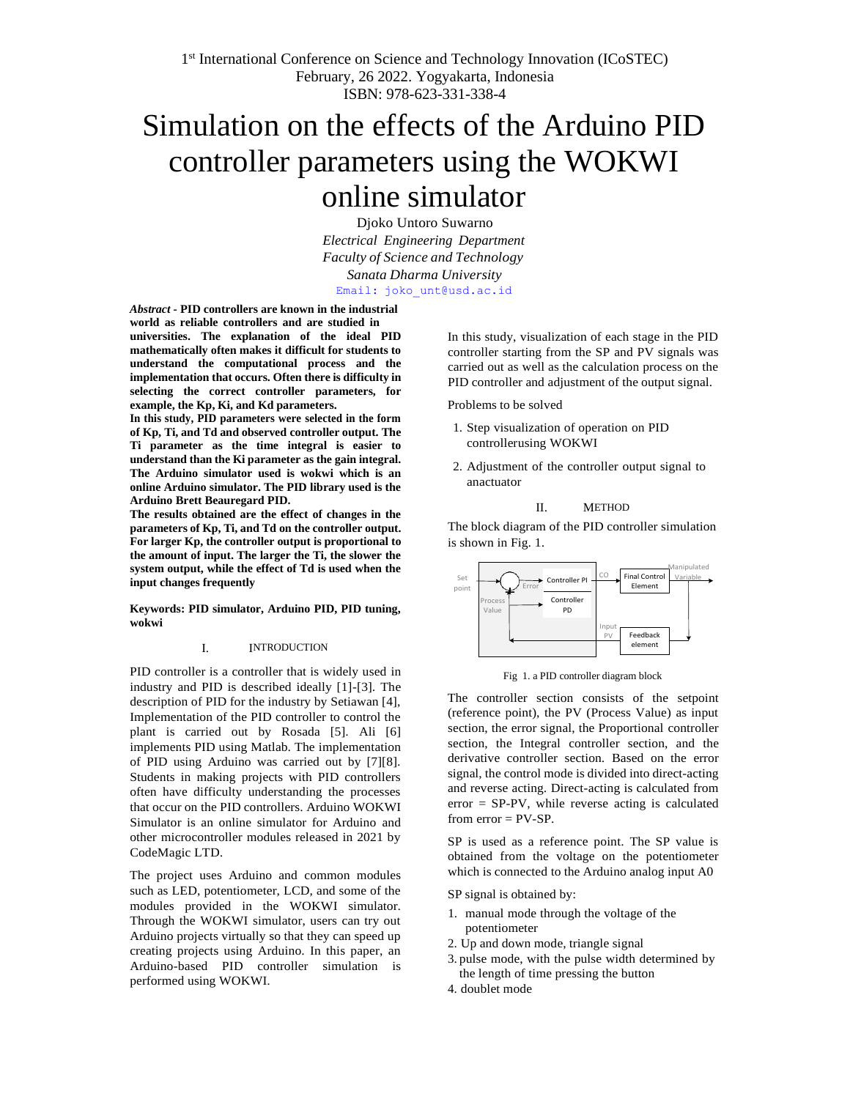# Simulation on the effects of the Arduino PID controller parameters using the WOKWI online simulator

Djoko Untoro Suwarno *Electrical Engineering Department Faculty of Science and Technology Sanata Dharma University* Email: [joko\\_unt@usd.ac.id](mailto:joko_unt@usd.ac.id)

*Abstract -* **PID controllers are known in the industrial**

**world as reliable controllers and are studied in universities. The explanation of the ideal PID mathematically often makes it difficult for students to understand the computational process and the implementation that occurs. Often there is difficulty in selecting the correct controller parameters, for example, the Kp, Ki, and Kd parameters.**

**In this study, PID parameters were selected in the form of Kp, Ti, and Td and observed controller output. The Ti parameter as the time integral is easier to understand than the Ki parameter as the gain integral. The Arduino simulator used is wokwi which is an online Arduino simulator. The PID library used is the Arduino Brett Beauregard PID.**

**The results obtained are the effect of changes in the parameters of Kp, Ti, and Td on the controller output. For larger Kp, the controller output is proportional to the amount of input. The larger the Ti, the slower the system output, while the effect of Td is used when the input changes frequently**

#### **Keywords: PID simulator, Arduino PID, PID tuning, wokwi**

#### I. INTRODUCTION

PID controller is a controller that is widely used in industry and PID is described ideally [1]-[3]. The description of PID for the industry by Setiawan [4], Implementation of the PID controller to control the plant is carried out by Rosada [5]. Ali [6] implements PID using Matlab. The implementation of PID using Arduino was carried out by [7][8]. Students in making projects with PID controllers often have difficulty understanding the processes that occur on the PID controllers. Arduino WOKWI Simulator is an online simulator for Arduino and other microcontroller modules released in 2021 by CodeMagic LTD.

The project uses Arduino and common modules such as LED, potentiometer, LCD, and some of the modules provided in the WOKWI simulator. Through the WOKWI simulator, users can try out Arduino projects virtually so that they can speed up creating projects using Arduino. In this paper, an Arduino-based PID controller simulation is performed using WOKWI.

In this study, visualization of each stage in the PID controller starting from the SP and PV signals was carried out as well as the calculation process on the PID controller and adjustment of the output signal.

Problems to be solved

- 1. Step visualization of operation on PID controllerusing WOKWI
- 2. Adjustment of the controller output signal to anactuator

#### II. METHOD

The block diagram of the PID controller simulation is shown in Fig. 1.



Fig 1. a PID controller diagram block

The controller section consists of the setpoint (reference point), the PV (Process Value) as input section, the error signal, the Proportional controller section, the Integral controller section, and the derivative controller section. Based on the error signal, the control mode is divided into direct-acting and reverse acting. Direct-acting is calculated from error = SP-PV, while reverse acting is calculated from  $error = PV-SP$ .

SP is used as a reference point. The SP value is obtained from the voltage on the potentiometer which is connected to the Arduino analog input A0

SP signal is obtained by:

- 1. manual mode through the voltage of the potentiometer
- 2. Up and down mode, triangle signal
- 3. pulse mode, with the pulse width determined by the length of time pressing the button
- 4. doublet mode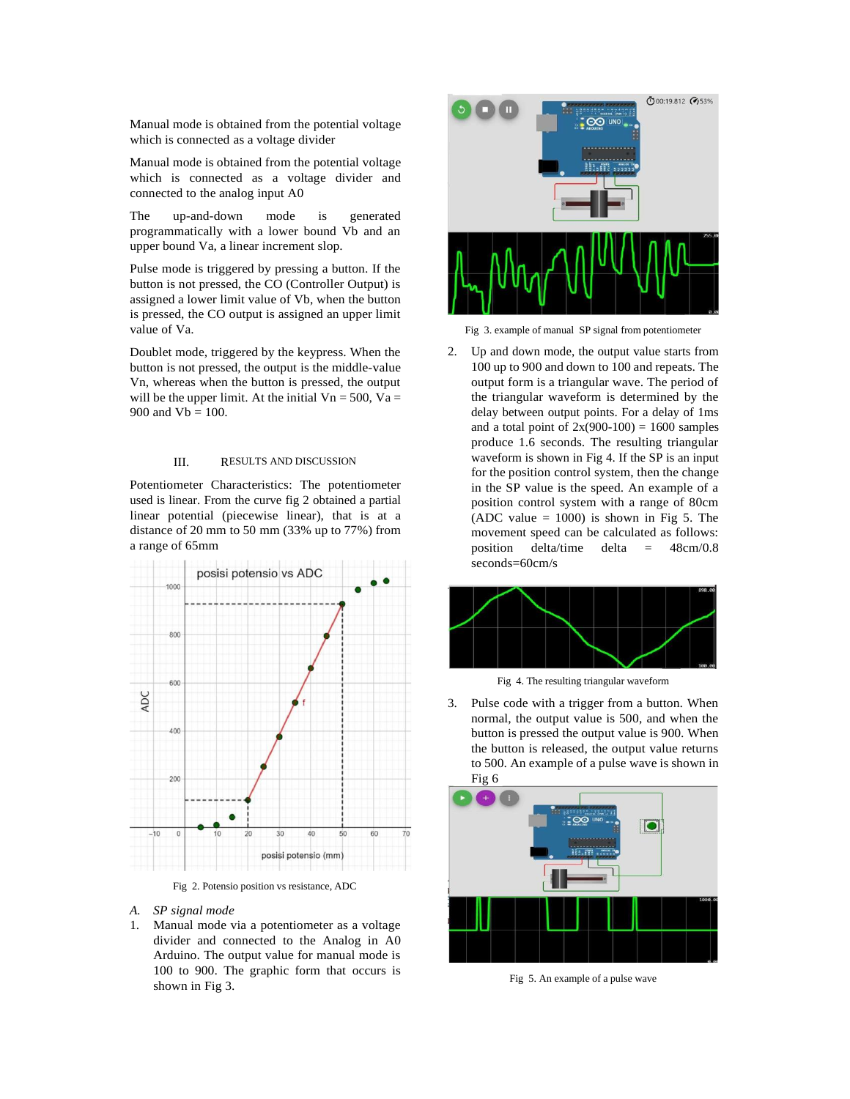Manual mode is obtained from the potential voltage which is connected as a voltage divider

Manual mode is obtained from the potential voltage which is connected as a voltage divider and connected to the analog input A0

The up-and-down mode is generated programmatically with a lower bound Vb and an upper bound Va, a linear increment slop.

Pulse mode is triggered by pressing a button. If the button is not pressed, the CO (Controller Output) is assigned a lower limit value of Vb, when the button is pressed, the CO output is assigned an upper limit value of Va.

Doublet mode, triggered by the keypress. When the button is not pressed, the output is the middle-value Vn, whereas when the button is pressed, the output will be the upper limit. At the initial  $Vn = 500$ ,  $Va =$ 900 and  $Vb = 100$ .

#### III. RESULTS AND DISCUSSION

Potentiometer Characteristics: The potentiometer used is linear. From the curve fig 2 obtained a partial linear potential (piecewise linear), that is at a distance of 20 mm to 50 mm (33% up to 77%) from a range of 65mm



Fig 2. Potensio position vs resistance, ADC

#### *A. SP signal mode*

1. Manual mode via a potentiometer as a voltage divider and connected to the Analog in A0 Arduino. The output value for manual mode is 100 to 900. The graphic form that occurs is shown in Fig 3.



Fig 3. example of manual SP signal from potentiometer

2. Up and down mode, the output value starts from 100 up to 900 and down to 100 and repeats. The output form is a triangular wave. The period of the triangular waveform is determined by the delay between output points. For a delay of 1ms and a total point of  $2x(900-100) = 1600$  samples produce 1.6 seconds. The resulting triangular waveform is shown in Fig 4. If the SP is an input for the position control system, then the change in the SP value is the speed. An example of a position control system with a range of 80cm (ADC value  $= 1000$ ) is shown in Fig 5. The movement speed can be calculated as follows: position delta/time delta = 48cm/0.8 seconds=60cm/s



Fig 4. The resulting triangular waveform

3. Pulse code with a trigger from a button. When normal, the output value is 500, and when the button is pressed the output value is 900. When the button is released, the output value returns to 500. An example of a pulse wave is shown in Fig 6



Fig 5. An example of a pulse wave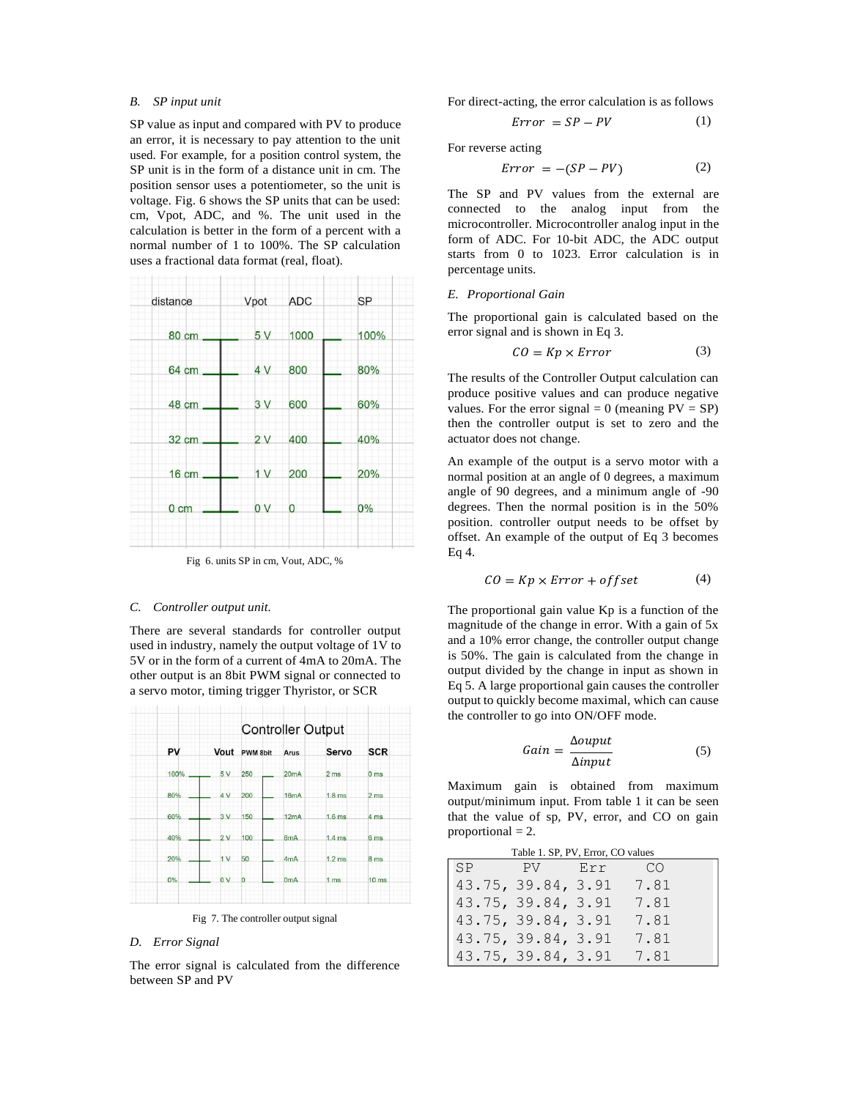#### *B. SP input unit*

SP value as input and compared with PV to produce an error, it is necessary to pay attention to the unit used. For example, for a position control system, the SP unit is in the form of a distance unit in cm. The position sensor uses a potentiometer, so the unit is voltage. Fig. 6 shows the SP units that can be used: cm, Vpot, ADC, and %. The unit used in the calculation is better in the form of a percent with a normal number of 1 to 100%. The SP calculation uses a fractional data format (real, float).



Fig 6. units SP in cm, Vout, ADC, %

#### *C. Controller output unit.*

There are several standards for controller output used in industry, namely the output voltage of 1V to 5V or in the form of a current of 4mA to 20mA. The other output is an 8bit PWM signal or connected to a servo motor, timing trigger Thyristor, or SCR



Fig 7. The controller output signal

#### *D. Error Signal*

The error signal is calculated from the difference between SP and PV

For direct-acting, the error calculation is as follows

$$
Error = SP - PV \tag{1}
$$

For reverse acting

$$
Error = -(SP - PV)
$$
 (2)

The SP and PV values from the external are connected to the analog input from the microcontroller. Microcontroller analog input in the form of ADC. For 10-bit ADC, the ADC output starts from 0 to 1023. Error calculation is in percentage units.

#### *E. Proportional Gain*

The proportional gain is calculated based on the error signal and is shown in Eq 3.

$$
CO = Kp \times Error \tag{3}
$$

The results of the Controller Output calculation can produce positive values and can produce negative values. For the error signal = 0 (meaning  $PV = SP$ ) then the controller output is set to zero and the actuator does not change.

An example of the output is a servo motor with a normal position at an angle of 0 degrees, a maximum angle of 90 degrees, and a minimum angle of -90 degrees. Then the normal position is in the 50% position. controller output needs to be offset by offset. An example of the output of Eq 3 becomes Eq 4.

$$
CO = Kp \times Error + offset
$$
 (4)

The proportional gain value Kp is a function of the magnitude of the change in error. With a gain of 5x and a 10% error change, the controller output change is 50%. The gain is calculated from the change in output divided by the change in input as shown in Eq 5. A large proportional gain causes the controller output to quickly become maximal, which can cause the controller to go into ON/OFF mode.

$$
Gain = \frac{\Delta output}{\Delta input} \tag{5}
$$

Maximum gain is obtained from maximum output/minimum input. From table 1 it can be seen that the value of sp, PV, error, and CO on gain proportional  $= 2$ .

| Table 1. SP, PV, Error, CO values |           |                    |     |      |  |
|-----------------------------------|-----------|--------------------|-----|------|--|
|                                   | <b>SP</b> | PV -               | Err | -CO  |  |
|                                   |           | 43.75, 39.84, 3.91 |     | 7.81 |  |
|                                   |           | 43.75, 39.84, 3.91 |     | 7.81 |  |
|                                   |           | 43.75, 39.84, 3.91 |     | 7.81 |  |
|                                   |           | 43.75, 39.84, 3.91 |     | 7.81 |  |
|                                   |           | 43.75, 39.84, 3.91 |     | 7.81 |  |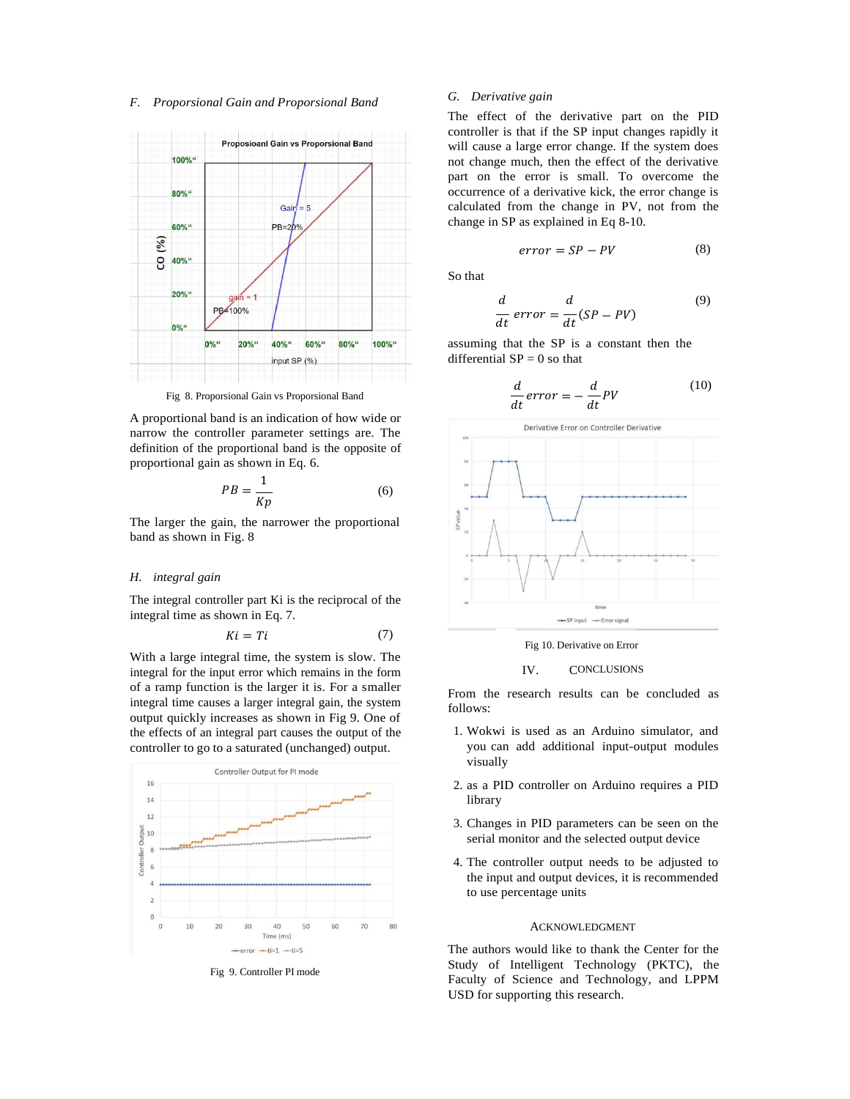## *F. Proporsional Gain and Proporsional Band G. Derivative gain*



Fig 8. Proporsional Gain vs Proporsional Band

A proportional band is an indication of how wide or narrow the controller parameter settings are. The definition of the proportional band is the opposite of proportional gain as shown in Eq. 6.

$$
PB = \frac{1}{Kp} \tag{6}
$$

The larger the gain, the narrower the proportional band as shown in Fig. 8

#### *H. integral gain*

The integral controller part Ki is the reciprocal of the integral time as shown in Eq. 7.

$$
Ki = Ti \tag{7}
$$

With a large integral time, the system is slow. The integral for the input error which remains in the form of a ramp function is the larger it is. For a smaller integral time causes a larger integral gain, the system output quickly increases as shown in Fig 9. One of the effects of an integral part causes the output of the controller to go to a saturated (unchanged) output.



Fig 9. Controller PI mode

The effect of the derivative part on the PID controller is that if the SP input changes rapidly it will cause a large error change. If the system does not change much, then the effect of the derivative part on the error is small. To overcome the occurrence of a derivative kick, the error change is calculated from the change in PV, not from the change in SP as explained in Eq 8-10.

$$
error = SP - PV \tag{8}
$$

So that

$$
\frac{d}{dt}\,error = \frac{d}{dt}(SP - PV) \tag{9}
$$

assuming that the SP is a constant then the differential  $SP = 0$  so that

$$
\frac{d}{dt}error = -\frac{d}{dt}PV
$$
\n(10)



Fig 10. Derivative on Error

#### IV. CONCLUSIONS

From the research results can be concluded as follows:

- 1. Wokwi is used as an Arduino simulator, and you can add additional input-output modules visually
- 2. as a PID controller on Arduino requires a PID library
- 3. Changes in PID parameters can be seen on the serial monitor and the selected output device
- 4. The controller output needs to be adjusted to the input and output devices, it is recommended to use percentage units

#### ACKNOWLEDGMENT

The authors would like to thank the Center for the Study of Intelligent Technology (PKTC), the Faculty of Science and Technology, and LPPM USD for supporting this research.